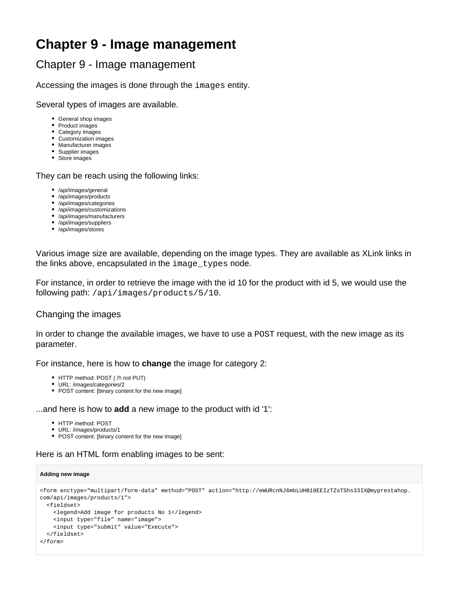# **Chapter 9 - Image management**

## Chapter 9 - Image management

Accessing the images is done through the images entity.

Several types of images are available.

- General shop images
- Product images
- Category images
- Customization images Manufacturer images
- Supplier images
- Store images

They can be reach using the following links:

- /api/images/general
- /api/images/products
- /api/images/categories
- /api/images/customizations
- /api/images/manufacturers
- /api/images/suppliers • /api/images/stores

Various image size are available, depending on the image types. They are available as XLink links in the links above, encapsulated in the image\_types node.

For instance, in order to retrieve the image with the id 10 for the product with id 5, we would use the following path: /api/images/products/5/10.

### Changing the images

In order to change the available images, we have to use a POST request, with the new image as its parameter.

For instance, here is how to **change** the image for category 2:

- HTTP method: POST ( /!\ not PUT)
- URL: /images/categories/2
- POST content: [binary content for the new image]

...and here is how to **add** a new image to the product with id '1':

- HTTP method: POST
- URL: /images/products/1
- POST content: [binary content for the new image]

Here is an HTML form enabling images to be sent:

#### **Adding new image**

```
<form enctype="multipart/form-data" method="POST" action="http://eWURcnNJ6mbLUHB10EEIzTZsTShs33IX@myprestahop.
com/api/images/products/1">
  <fieldset>
    <legend>Add image for products No 1</legend>
    <input type="file" name="image">
    <input type="submit" value="Execute">
  </fieldset>
</form>
```